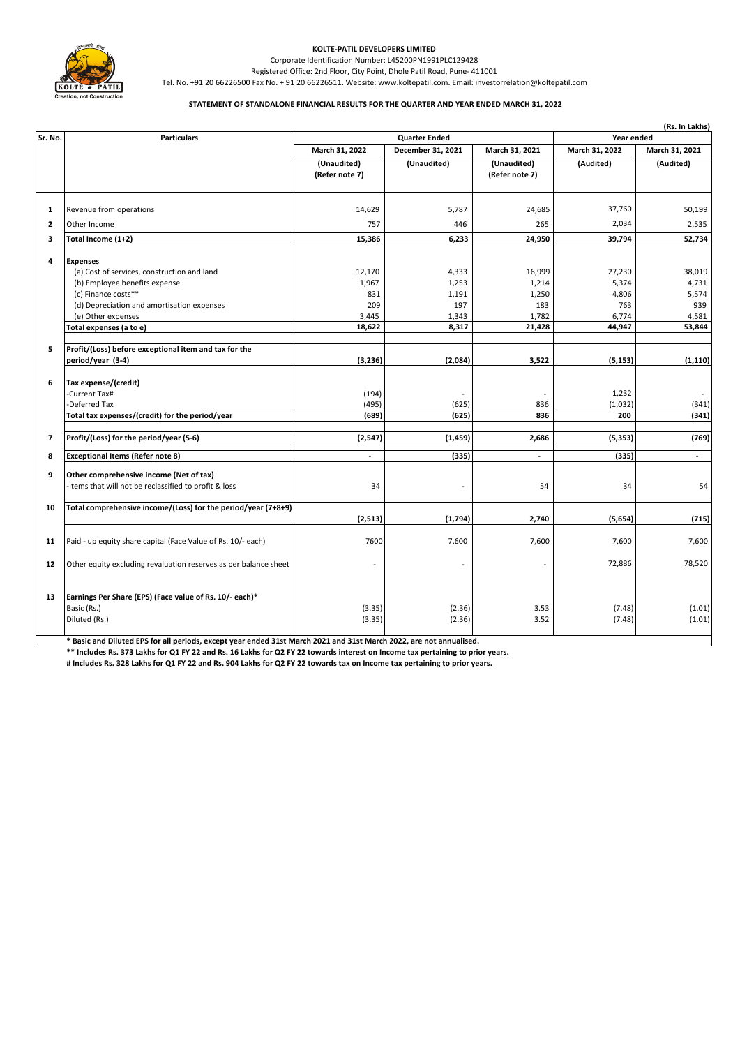

## **KOLTE-PATIL DEVELOPERS LIMITED**

Registered Office: 2nd Floor, City Point, Dhole Patil Road, Pune- 411001 Corporate Identification Number: L45200PN1991PLC129428

Tel. No. +91 20 66226500 Fax No. + 91 20 66226511. Website: www.koltepatil.com. Email: investorrelation@koltepatil.com

## **STATEMENT OF STANDALONE FINANCIAL RESULTS FOR THE QUARTER AND YEAR ENDED MARCH 31, 2022**

|                |                                                                                                                                                                                                                | (Rs. In Lakhs)                |                                  |                               |                          |                          |  |
|----------------|----------------------------------------------------------------------------------------------------------------------------------------------------------------------------------------------------------------|-------------------------------|----------------------------------|-------------------------------|--------------------------|--------------------------|--|
| Sr. No.        | <b>Particulars</b>                                                                                                                                                                                             |                               | <b>Quarter Ended</b>             |                               |                          | Year ended               |  |
|                |                                                                                                                                                                                                                | March 31, 2022                | December 31, 2021                | March 31, 2021                | March 31, 2022           | March 31, 2021           |  |
|                |                                                                                                                                                                                                                | (Unaudited)<br>(Refer note 7) | (Unaudited)                      | (Unaudited)<br>(Refer note 7) | (Audited)                | (Audited)                |  |
| 1              | Revenue from operations                                                                                                                                                                                        | 14,629                        | 5,787                            | 24,685                        | 37,760                   | 50,199                   |  |
| $\mathbf{z}$   | Other Income                                                                                                                                                                                                   | 757                           | 446                              | 265                           | 2,034                    | 2,535                    |  |
| 3              | Total Income (1+2)                                                                                                                                                                                             | 15,386                        | 6,233                            | 24,950                        | 39,794                   | 52,734                   |  |
| 4              | <b>Expenses</b><br>(a) Cost of services, construction and land<br>(b) Employee benefits expense<br>(c) Finance costs**                                                                                         | 12,170<br>1,967<br>831        | 4,333<br>1,253<br>1,191          | 16,999<br>1,214<br>1,250      | 27,230<br>5,374<br>4,806 | 38,019<br>4,731<br>5,574 |  |
|                | (d) Depreciation and amortisation expenses<br>(e) Other expenses                                                                                                                                               | 209<br>3,445                  | 197<br>1,343                     | 183<br>1,782                  | 763<br>6,774             | 939<br>4,581             |  |
|                | Total expenses (a to e)                                                                                                                                                                                        | 18,622                        | 8,317                            | 21,428                        | 44,947                   | 53,844                   |  |
| 5              | Profit/(Loss) before exceptional item and tax for the<br>period/year (3-4)                                                                                                                                     | (3,236)                       | (2,084)                          | 3,522                         | (5, 153)                 | (1, 110)                 |  |
| 6              | Tax expense/(credit)<br>-Current Tax#<br>-Deferred Tax<br>Total tax expenses/(credit) for the period/year                                                                                                      | (194)<br>(495)<br>(689)       | $\overline{a}$<br>(625)<br>(625) | 836<br>836                    | 1,232<br>(1,032)<br>200  | (341)<br>(341)           |  |
| $\overline{7}$ | Profit/(Loss) for the period/year (5-6)                                                                                                                                                                        | (2, 547)                      | (1, 459)                         | 2.686                         | (5, 353)                 | (769)                    |  |
| 8              | <b>Exceptional Items (Refer note 8)</b>                                                                                                                                                                        | $\blacksquare$                | (335)                            | $\blacksquare$                | (335)                    | $\sim$                   |  |
| 9              | Other comprehensive income (Net of tax)<br>-Items that will not be reclassified to profit & loss                                                                                                               | 34                            |                                  | 54                            | 34                       | 54                       |  |
| 10             | Total comprehensive income/(Loss) for the period/year (7+8+9)                                                                                                                                                  | (2, 513)                      | (1,794)                          | 2,740                         | (5,654)                  | (715)                    |  |
| 11             | Paid - up equity share capital (Face Value of Rs. 10/- each)                                                                                                                                                   | 7600                          | 7,600                            | 7,600                         | 7,600                    | 7,600                    |  |
| 12             | Other equity excluding revaluation reserves as per balance sheet                                                                                                                                               |                               |                                  |                               | 72,886                   | 78,520                   |  |
| 13             | Earnings Per Share (EPS) (Face value of Rs. 10/- each)*<br>Basic (Rs.)<br>Diluted (Rs.)<br>* Basic and Diluted EPS for all periods, except year ended 31st March 2021 and 31st March 2022, are not annualised. | (3.35)<br>(3.35)              | (2.36)<br>(2.36)                 | 3.53<br>3.52                  | (7.48)<br>(7.48)         | (1.01)<br>(1.01)         |  |

**\*\* Includes Rs. 373 Lakhs for Q1 FY 22 and Rs. 16 Lakhs for Q2 FY 22 towards interest on Income tax pertaining to prior years.**

**# Includes Rs. 328 Lakhs for Q1 FY 22 and Rs. 904 Lakhs for Q2 FY 22 towards tax on Income tax pertaining to prior years.**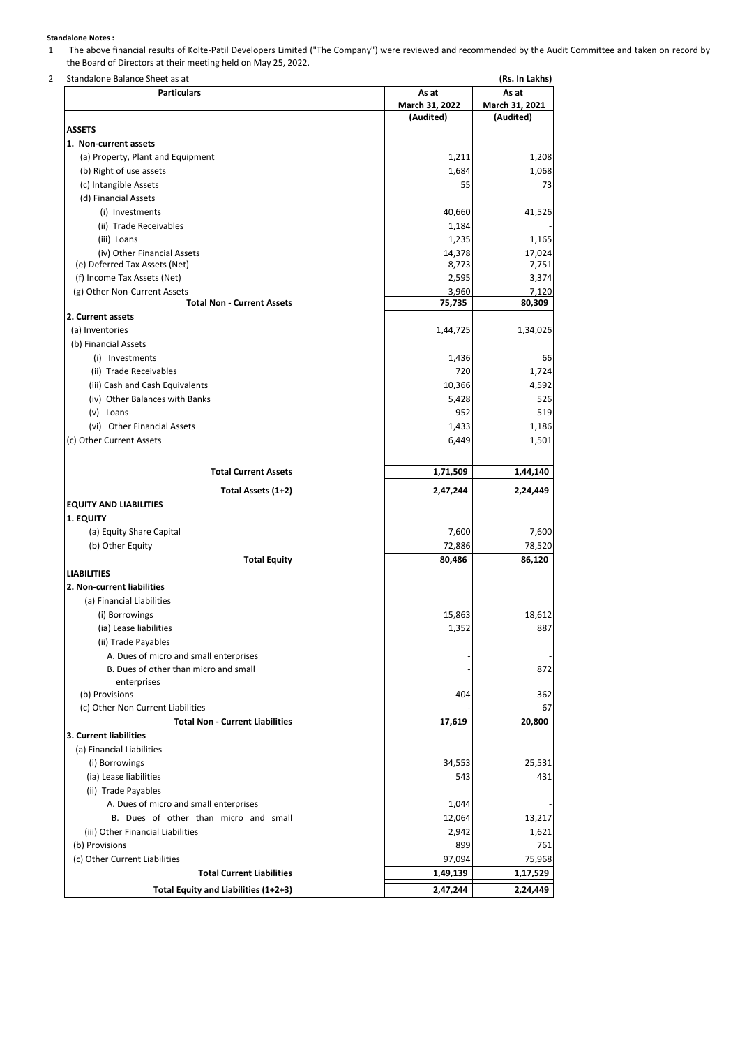## **Standalone Notes :**

1 The above financial results of Kolte-Patil Developers Limited ("The Company") were reviewed and recommended by the Audit Committee and taken on record by the Board of Directors at their meeting held on May 25, 2022.

| Standalone Balance Sheet as at |  |  |
|--------------------------------|--|--|

| Standalone Balance Sheet as at         |                | (Rs. In Lakhs) |
|----------------------------------------|----------------|----------------|
| <b>Particulars</b>                     | As at          | As at          |
|                                        | March 31, 2022 | March 31, 2021 |
|                                        | (Audited)      | (Audited)      |
| <b>ASSETS</b>                          |                |                |
| 1. Non-current assets                  |                |                |
| (a) Property, Plant and Equipment      | 1,211          | 1,208          |
| (b) Right of use assets                | 1,684          | 1,068          |
| (c) Intangible Assets                  | 55             | 73             |
| (d) Financial Assets                   |                |                |
| (i) Investments                        | 40,660         | 41,526         |
| (ii) Trade Receivables                 | 1,184          |                |
| (iii) Loans                            | 1,235          | 1,165          |
| (iv) Other Financial Assets            | 14,378         | 17,024         |
| (e) Deferred Tax Assets (Net)          | 8,773          | 7,751          |
| (f) Income Tax Assets (Net)            | 2,595          | 3,374          |
| (g) Other Non-Current Assets           | 3,960          | 7,120          |
| <b>Total Non - Current Assets</b>      | 75,735         | 80,309         |
| 2. Current assets                      |                |                |
| (a) Inventories                        | 1,44,725       | 1,34,026       |
| (b) Financial Assets                   |                |                |
| (i) Investments                        | 1,436          | 66             |
| (ii) Trade Receivables                 | 720            | 1,724          |
| (iii) Cash and Cash Equivalents        | 10,366         | 4,592          |
| (iv) Other Balances with Banks         | 5,428          | 526            |
| (v) Loans                              | 952            | 519            |
| (vi) Other Financial Assets            | 1,433          | 1,186          |
| (c) Other Current Assets               | 6,449          | 1,501          |
|                                        |                |                |
| <b>Total Current Assets</b>            | 1,71,509       | 1,44,140       |
|                                        |                |                |
| Total Assets (1+2)                     | 2,47,244       | 2,24,449       |
| <b>EQUITY AND LIABILITIES</b>          |                |                |
| 1. EQUITY                              |                |                |
| (a) Equity Share Capital               | 7,600          | 7,600          |
| (b) Other Equity                       | 72,886         | 78,520         |
| <b>Total Equity</b>                    | 80,486         | 86,120         |
| <b>LIABILITIES</b>                     |                |                |
| 2. Non-current liabilities             |                |                |
| (a) Financial Liabilities              |                |                |
| (i) Borrowings                         | 15,863         | 18,612         |
| (ia) Lease liabilities                 | 1,352          | 887            |
| (ii) Trade Payables                    |                |                |
| A. Dues of micro and small enterprises |                |                |
| B. Dues of other than micro and small  |                | 872            |
| enterprises                            |                |                |
| (b) Provisions                         | 404            | 362            |
| (c) Other Non Current Liabilities      |                | 67             |
| <b>Total Non - Current Liabilities</b> | 17,619         | 20,800         |
| 3. Current liabilities                 |                |                |
| (a) Financial Liabilities              |                |                |
|                                        |                |                |
| (i) Borrowings                         | 34,553         | 25,531         |
| (ia) Lease liabilities                 | 543            | 431            |
| (ii) Trade Payables                    |                |                |
| A. Dues of micro and small enterprises | 1,044          |                |
| B. Dues of other than micro and small  | 12,064         | 13,217         |
| (iii) Other Financial Liabilities      | 2,942          | 1,621          |
| (b) Provisions                         | 899            | 761            |
| (c) Other Current Liabilities          | 97,094         | 75,968         |
| <b>Total Current Liabilities</b>       | 1,49,139       | 1,17,529       |
| Total Equity and Liabilities (1+2+3)   | 2,47,244       | 2,24,449       |
|                                        |                |                |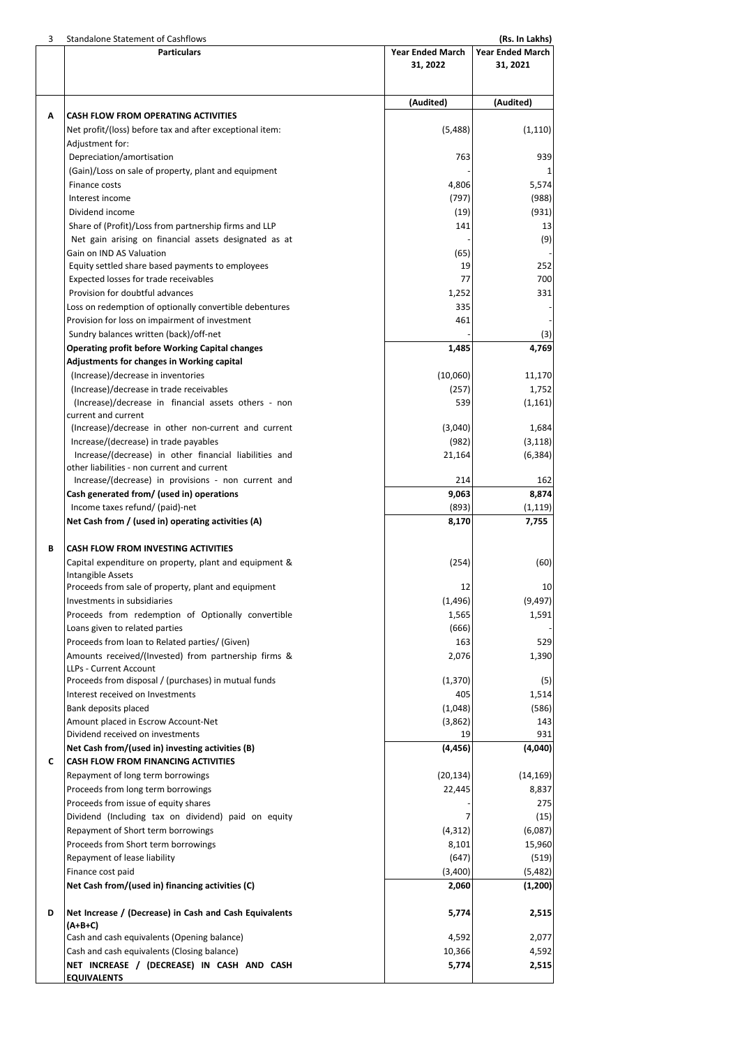| 3 | <b>Standalone Statement of Cashflows</b>                 |                         | (Rs. In Lakhs)          |  |
|---|----------------------------------------------------------|-------------------------|-------------------------|--|
|   | <b>Particulars</b>                                       | <b>Year Ended March</b> | <b>Year Ended March</b> |  |
|   |                                                          | 31, 2022                | 31, 2021                |  |
|   |                                                          |                         |                         |  |
|   |                                                          |                         |                         |  |
|   |                                                          | (Audited)               | (Audited)               |  |
| Α | <b>CASH FLOW FROM OPERATING ACTIVITIES</b>               |                         |                         |  |
|   | Net profit/(loss) before tax and after exceptional item: | (5,488)                 | (1, 110)                |  |
|   | Adjustment for:                                          |                         |                         |  |
|   | Depreciation/amortisation                                | 763                     | 939                     |  |
|   | (Gain)/Loss on sale of property, plant and equipment     |                         | 1                       |  |
|   | Finance costs                                            | 4,806                   | 5,574                   |  |
|   | Interest income                                          | (797)                   | (988)                   |  |
|   | Dividend income                                          | (19)                    | (931)                   |  |
|   | Share of (Profit)/Loss from partnership firms and LLP    | 141                     | 13                      |  |
|   | Net gain arising on financial assets designated as at    |                         | (9)                     |  |
|   | Gain on IND AS Valuation                                 | (65)                    |                         |  |
|   | Equity settled share based payments to employees         | 19                      | 252                     |  |
|   | Expected losses for trade receivables                    | 77                      | 700                     |  |
|   | Provision for doubtful advances                          | 1,252                   | 331                     |  |
|   | Loss on redemption of optionally convertible debentures  | 335                     |                         |  |
|   | Provision for loss on impairment of investment           | 461                     |                         |  |
|   | Sundry balances written (back)/off-net                   |                         | (3)                     |  |
|   | <b>Operating profit before Working Capital changes</b>   | 1,485                   | 4,769                   |  |
|   | Adjustments for changes in Working capital               |                         |                         |  |
|   | (Increase)/decrease in inventories                       | (10,060)                | 11,170                  |  |
|   | (Increase)/decrease in trade receivables                 | (257)                   | 1,752                   |  |
|   | (Increase)/decrease in financial assets others - non     | 539                     | (1, 161)                |  |
|   | current and current                                      |                         |                         |  |
|   | (Increase)/decrease in other non-current and current     | (3,040)                 | 1,684                   |  |
|   | Increase/(decrease) in trade payables                    | (982)                   | (3, 118)                |  |
|   | Increase/(decrease) in other financial liabilities and   | 21,164                  | (6, 384)                |  |
|   | other liabilities - non current and current              |                         |                         |  |
|   | Increase/(decrease) in provisions - non current and      | 214                     | 162                     |  |
|   | Cash generated from/ (used in) operations                | 9,063                   | 8,874                   |  |
|   | Income taxes refund/ (paid)-net                          | (893)                   | (1, 119)                |  |
|   | Net Cash from / (used in) operating activities (A)       | 8,170                   | 7,755                   |  |
|   |                                                          |                         |                         |  |
| В | CASH FLOW FROM INVESTING ACTIVITIES                      |                         |                         |  |
|   | Capital expenditure on property, plant and equipment &   | (254)                   | (60)                    |  |
|   | Intangible Assets                                        |                         |                         |  |
|   | Proceeds from sale of property, plant and equipment      | 12                      | 10                      |  |
|   | Investments in subsidiaries                              | (1,496)                 | (9, 497)                |  |
|   | Proceeds from redemption of Optionally convertible       | 1,565                   | 1,591                   |  |
|   | Loans given to related parties                           | (666)                   |                         |  |
|   | Proceeds from loan to Related parties/ (Given)           | 163                     | 529                     |  |
|   | Amounts received/(Invested) from partnership firms &     | 2,076                   | 1,390                   |  |
|   | LLPs - Current Account                                   |                         |                         |  |
|   | Proceeds from disposal / (purchases) in mutual funds     | (1, 370)                | (5)                     |  |
|   | Interest received on Investments                         | 405                     | 1,514                   |  |
|   | Bank deposits placed                                     | (1,048)                 | (586)                   |  |
|   | Amount placed in Escrow Account-Net                      | (3,862)                 | 143                     |  |
|   | Dividend received on investments                         | 19                      | 931                     |  |
|   | Net Cash from/(used in) investing activities (B)         | (4, 456)                | (4,040)                 |  |
| C | CASH FLOW FROM FINANCING ACTIVITIES                      |                         |                         |  |
|   | Repayment of long term borrowings                        | (20, 134)               | (14, 169)               |  |
|   |                                                          |                         |                         |  |
|   | Proceeds from long term borrowings                       | 22,445                  | 8,837                   |  |
|   | Proceeds from issue of equity shares                     |                         | 275                     |  |
|   | Dividend (Including tax on dividend) paid on equity      | 7                       | (15)                    |  |
|   | Repayment of Short term borrowings                       | (4, 312)                | (6,087)                 |  |
|   | Proceeds from Short term borrowings                      | 8,101                   | 15,960                  |  |
|   | Repayment of lease liability                             | (647)                   | (519)                   |  |
|   | Finance cost paid                                        | (3,400)                 | (5,482)                 |  |
|   | Net Cash from/(used in) financing activities (C)         | 2,060                   | (1, 200)                |  |
|   |                                                          |                         |                         |  |
| D | Net Increase / (Decrease) in Cash and Cash Equivalents   | 5,774                   | 2,515                   |  |
|   | (A+B+C)                                                  |                         |                         |  |
|   | Cash and cash equivalents (Opening balance)              | 4,592                   | 2,077                   |  |
|   | Cash and cash equivalents (Closing balance)              | 10,366                  | 4,592                   |  |
|   | NET INCREASE / (DECREASE) IN CASH AND CASH               | 5,774                   | 2,515                   |  |
|   | <b>EQUIVALENTS</b>                                       |                         |                         |  |